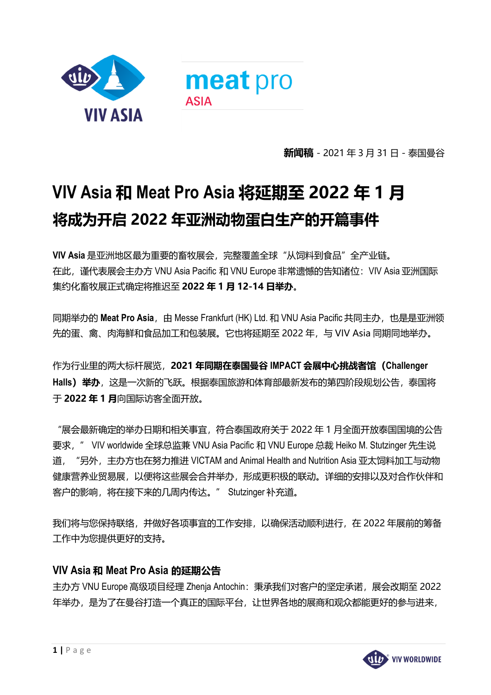

**新闻稿** - 2021 年 3 月 31 日 - 泰国曼谷

## **VIV Asia 和 Meat Pro Asia 将延期至 2022 年 1 月 将成为开启 2022 年亚洲动物蛋白生产的开篇事件**

**VIV Asia** 是亚洲地区最为重要的畜牧展会,完整覆盖全球"从饲料到食品"全产业链。 在此,谨代表展会主办方 VNU Asia Pacific 和 VNU Europe 非常遗憾的告知诸位:VIV Asia 亚洲国际 集约化畜牧展正式确定将推迟至 **2022 年 1 月 12-14 日举办**。

同期举办的 Meat Pro Asia, 由 Messe Frankfurt (HK) Ltd. 和 VNU Asia Pacific 共同主办, 也是是亚洲领 先的蛋、禽、肉海鲜和食品加工和包装展。它也将延期至 2022 年, 与 VIV Asia 同期同地举办。

作为行业里的两大标杆展览,**2021 年同期在泰国曼谷 IMPACT 会展中心挑战者馆(Challenger Halls)举办**,这是一次新的飞跃。根据泰国旅游和体育部最新发布的第四阶段规划公告,泰国将 于 **2022 年 1 月**向国际访客全面开放。

"展会最新确定的举办日期和相关事宜,符合泰国政府关于 2022 年 1 月全面开放泰国国境的公告 要求," VIV worldwide 全球总监兼 VNU Asia Pacific 和 VNU Europe 总裁 Heiko M. Stutzinger 先生说 道, "另外, 主办方也在努力推进 VICTAM and Animal Health and Nutrition Asia 亚太饲料加工与动物 健康营养业贸易展,以便将这些展会合并举办,形成更积极的联动。详细的安排以及对合作伙伴和 客户的影响,将在接下来的几周内传达。" Stutzinger 补充道。

我们将与您保持联络,并做好各项事宜的工作安排,以确保活动顺利进行,在 2022 年展前的筹备 工作中为您提供更好的支持。

## **VIV Asia 和 Meat Pro Asia 的延期公告**

主办方 VNU Europe 高级项目经理 Zhenja Antochin: 秉承我们对客户的坚定承诺, 展会改期至 2022 年举办,是为了在曼谷打造一个真正的国际平台,让世界各地的展商和观众都能更好的参与进来,